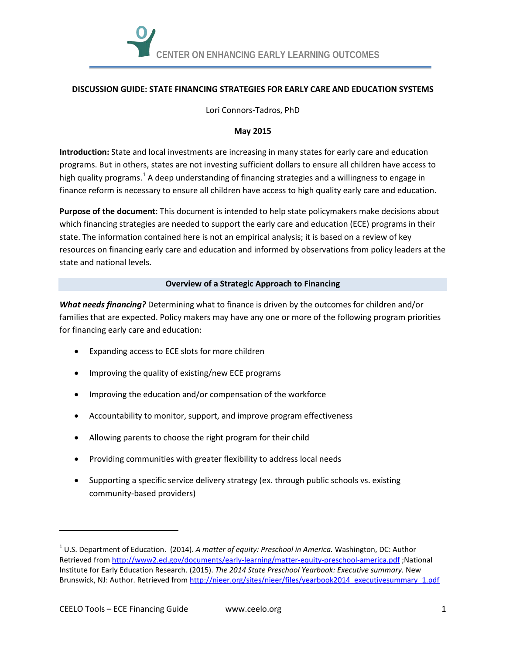

## **DISCUSSION GUIDE: STATE FINANCING STRATEGIES FOR EARLY CARE AND EDUCATION SYSTEMS**

Lori Connors-Tadros, PhD

## **May 2015**

**Introduction:** State and local investments are increasing in many states for early care and education programs. But in others, states are not investing sufficient dollars to ensure all children have access to high quality programs.<sup>[1](#page-0-0)</sup> A deep understanding of financing strategies and a willingness to engage in finance reform is necessary to ensure all children have access to high quality early care and education.

**Purpose of the document**: This document is intended to help state policymakers make decisions about which financing strategies are needed to support the early care and education (ECE) programs in their state. The information contained here is not an empirical analysis; it is based on a review of key resources on financing early care and education and informed by observations from policy leaders at the state and national levels.

## **Overview of a Strategic Approach to Financing**

*What needs financing?* Determining what to finance is driven by the outcomes for children and/or families that are expected. Policy makers may have any one or more of the following program priorities for financing early care and education:

- Expanding access to ECE slots for more children
- Improving the quality of existing/new ECE programs
- Improving the education and/or compensation of the workforce
- Accountability to monitor, support, and improve program effectiveness
- Allowing parents to choose the right program for their child
- Providing communities with greater flexibility to address local needs
- Supporting a specific service delivery strategy (ex. through public schools vs. existing community-based providers)

j

<span id="page-0-0"></span><sup>1</sup> U.S. Department of Education. (2014). *A matter of equity: Preschool in America.* Washington, DC: Author Retrieved fro[m http://www2.ed.gov/documents/early-learning/matter-equity-preschool-america.pdf](http://www2.ed.gov/documents/early-learning/matter-equity-preschool-america.pdf) ;National Institute for Early Education Research. (2015). *The 2014 State Preschool Yearbook: Executive summary.* New Brunswick, NJ: Author. Retrieved fro[m http://nieer.org/sites/nieer/files/yearbook2014\\_executivesummary\\_1.pdf](http://nieer.org/sites/nieer/files/yearbook2014_executivesummary_1.pdf)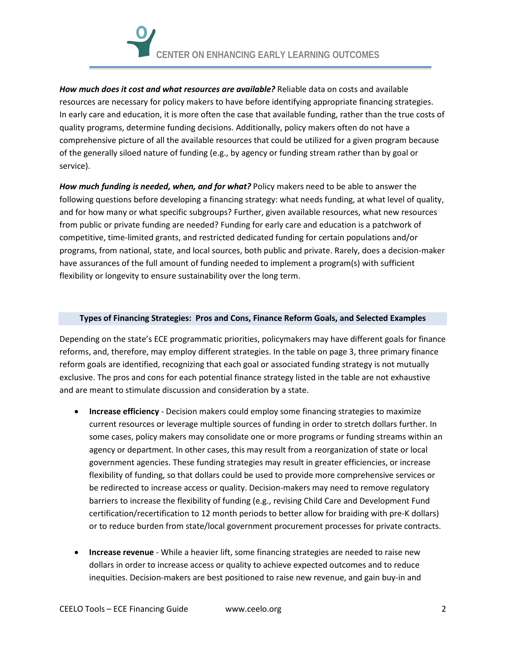*How much does it cost and what resources are available?* Reliable data on costs and available resources are necessary for policy makers to have before identifying appropriate financing strategies. In early care and education, it is more often the case that available funding, rather than the true costs of quality programs, determine funding decisions. Additionally, policy makers often do not have a comprehensive picture of all the available resources that could be utilized for a given program because of the generally siloed nature of funding (e.g., by agency or funding stream rather than by goal or service).

*How much funding is needed, when, and for what?* Policy makers need to be able to answer the following questions before developing a financing strategy: what needs funding, at what level of quality, and for how many or what specific subgroups? Further, given available resources, what new resources from public or private funding are needed? Funding for early care and education is a patchwork of competitive, time-limited grants, and restricted dedicated funding for certain populations and/or programs, from national, state, and local sources, both public and private. Rarely, does a decision-maker have assurances of the full amount of funding needed to implement a program(s) with sufficient flexibility or longevity to ensure sustainability over the long term.

## **Types of Financing Strategies: Pros and Cons, Finance Reform Goals, and Selected Examples**

Depending on the state's ECE programmatic priorities, policymakers may have different goals for finance reforms, and, therefore, may employ different strategies. In the table on pag[e 3,](#page-2-0) three primary finance reform goals are identified, recognizing that each goal or associated funding strategy is not mutually exclusive. The pros and cons for each potential finance strategy listed in the table are not exhaustive and are meant to stimulate discussion and consideration by a state.

- **Increase efficiency** Decision makers could employ some financing strategies to maximize current resources or leverage multiple sources of funding in order to stretch dollars further. In some cases, policy makers may consolidate one or more programs or funding streams within an agency or department. In other cases, this may result from a reorganization of state or local government agencies. These funding strategies may result in greater efficiencies, or increase flexibility of funding, so that dollars could be used to provide more comprehensive services or be redirected to increase access or quality. Decision-makers may need to remove regulatory barriers to increase the flexibility of funding (e.g., revising Child Care and Development Fund certification/recertification to 12 month periods to better allow for braiding with pre-K dollars) or to reduce burden from state/local government procurement processes for private contracts.
- **Increase revenue** While a heavier lift, some financing strategies are needed to raise new dollars in order to increase access or quality to achieve expected outcomes and to reduce inequities. Decision-makers are best positioned to raise new revenue, and gain buy-in and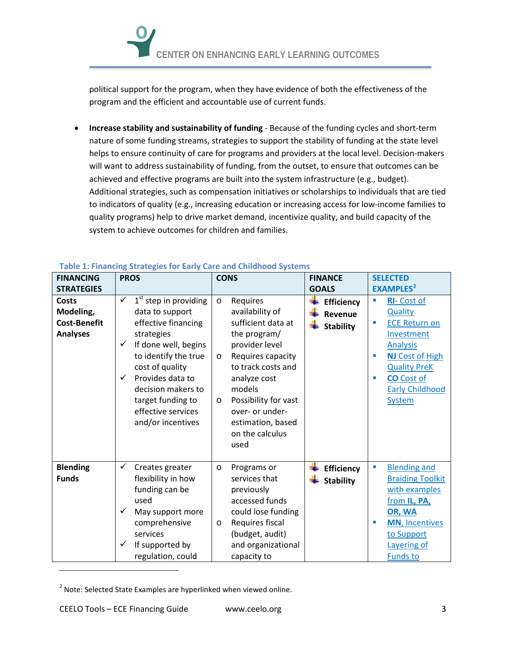political support for the program, when they have evidence of both the effectiveness of the program and the efficient and accountable use of current funds.

• **Increase stability and sustainability of funding** - Because of the funding cycles and short-term nature of some funding streams, strategies to support the stability of funding at the state level helps to ensure continuity of care for programs and providers at the local level. Decision-makers will want to address sustainability of funding, from the outset, to ensure that outcomes can be achieved and effective programs are built into the system infrastructure (e.g., budget). Additional strategies, such as compensation initiatives or scholarships to individuals that are tied to indicators of quality (e.g., increasing education or increasing access for low-income families to quality programs) help to drive market demand, incentivize quality, and build capacity of the system to achieve outcomes for children and families.

| <b>FINANCING</b>                                             | <b>PROS</b>                                                                                                                                                                                                                                                                                                  | <b>CONS</b>                                                                                                                                                                                                                                                                          | <b>FINANCE</b>                                   | <b>SELECTED</b>                                                                                                                                                                                                                                                                       |
|--------------------------------------------------------------|--------------------------------------------------------------------------------------------------------------------------------------------------------------------------------------------------------------------------------------------------------------------------------------------------------------|--------------------------------------------------------------------------------------------------------------------------------------------------------------------------------------------------------------------------------------------------------------------------------------|--------------------------------------------------|---------------------------------------------------------------------------------------------------------------------------------------------------------------------------------------------------------------------------------------------------------------------------------------|
| <b>STRATEGIES</b>                                            |                                                                                                                                                                                                                                                                                                              |                                                                                                                                                                                                                                                                                      | <b>GOALS</b>                                     | <b>EXAMPLES</b> <sup>2</sup>                                                                                                                                                                                                                                                          |
| Costs<br>Modeling,<br><b>Cost-Benefit</b><br><b>Analyses</b> | $1st$ step in providing<br>$\checkmark$<br>data to support<br>effective financing<br>strategies<br>If done well, begins<br>$\checkmark$<br>to identify the true<br>cost of quality<br>Provides data to<br>$\checkmark$<br>decision makers to<br>target funding to<br>effective services<br>and/or incentives | Requires<br>$\circ$<br>availability of<br>sufficient data at<br>the program/<br>provider level<br>Requires capacity<br>$\circ$<br>to track costs and<br>analyze cost<br>models<br>Possibility for vast<br>$\circ$<br>over- or under-<br>estimation, based<br>on the calculus<br>used | <b>Efficiency</b><br>Revenue<br><b>Stability</b> | <b>RI-Cost of</b><br>$\blacksquare$<br>Quality<br><b>ECE Return on</b><br>$\overline{\phantom{a}}$<br>Investment<br><b>Analysis</b><br><b>NJ Cost of High</b><br>п<br><b>Quality PreK</b><br><b>CO</b> Cost of<br>$\overline{\phantom{a}}$<br><b>Early Childhood</b><br><b>System</b> |
| <b>Blending</b><br><b>Funds</b>                              | $\checkmark$<br>Creates greater<br>flexibility in how<br>funding can be<br>used<br>✓<br>May support more<br>comprehensive<br>services<br>If supported by<br>$\checkmark$<br>regulation, could                                                                                                                | Programs or<br>$\circ$<br>services that<br>previously<br>accessed funds<br>could lose funding<br>Requires fiscal<br>$\circ$<br>(budget, audit)<br>and organizational<br>capacity to                                                                                                  | Efficiency<br><b>Stability</b>                   | <b>Blending and</b><br>I.<br><b>Braiding Toolkit</b><br>with examples<br>from IL, PA,<br>OR, WA<br><b>MN, Incentives</b><br>$\blacksquare$<br>to Support<br>Layering of<br><b>Funds to</b>                                                                                            |

# <span id="page-2-0"></span>**Table 1: Financing Strategies for Early Care and Childhood Systems**

j

<span id="page-2-1"></span> $2$  Note: Selected State Examples are hyperlinked when viewed online.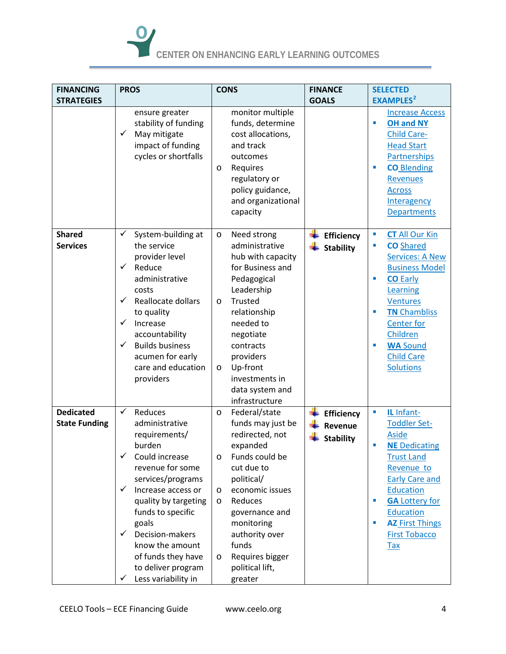

| <b>FINANCING</b>                         | <b>PROS</b>                                                                                                                                                                                                                                                                                                                              | <b>CONS</b>                                                                                                                                                                                                                                                                                    | <b>FINANCE</b>                                   | <b>SELECTED</b>                                                                                                                                                                                                                                                                                          |
|------------------------------------------|------------------------------------------------------------------------------------------------------------------------------------------------------------------------------------------------------------------------------------------------------------------------------------------------------------------------------------------|------------------------------------------------------------------------------------------------------------------------------------------------------------------------------------------------------------------------------------------------------------------------------------------------|--------------------------------------------------|----------------------------------------------------------------------------------------------------------------------------------------------------------------------------------------------------------------------------------------------------------------------------------------------------------|
| <b>STRATEGIES</b>                        |                                                                                                                                                                                                                                                                                                                                          |                                                                                                                                                                                                                                                                                                | <b>GOALS</b>                                     | <b>EXAMPLES</b> <sup>2</sup>                                                                                                                                                                                                                                                                             |
|                                          | ensure greater<br>stability of funding<br>✓<br>May mitigate<br>impact of funding<br>cycles or shortfalls                                                                                                                                                                                                                                 | monitor multiple<br>funds, determine<br>cost allocations,<br>and track<br>outcomes<br>Requires<br>$\circ$<br>regulatory or<br>policy guidance,<br>and organizational<br>capacity                                                                                                               |                                                  | <b>Increase Access</b><br><b>OH and NY</b><br>$\blacksquare$<br><b>Child Care-</b><br><b>Head Start</b><br><b>Partnerships</b><br><b>CO</b> Blending<br>п<br><b>Revenues</b><br><b>Across</b><br>Interagency<br><b>Departments</b>                                                                       |
| <b>Shared</b><br><b>Services</b>         | ✓<br>System-building at<br>the service<br>provider level<br>✓<br>Reduce<br>administrative<br>costs<br>Reallocate dollars<br>✓<br>to quality<br>✓<br>Increase<br>accountability<br>✓<br><b>Builds business</b><br>acumen for early<br>care and education<br>providers                                                                     | Need strong<br>$\circ$<br>administrative<br>hub with capacity<br>for Business and<br>Pedagogical<br>Leadership<br>Trusted<br>$\circ$<br>relationship<br>needed to<br>negotiate<br>contracts<br>providers<br>Up-front<br>$\circ$<br>investments in<br>data system and<br>infrastructure         | Efficiency<br><b>Stability</b>                   | <b>CT All Our Kin</b><br>$\blacksquare$<br><b>CO</b> Shared<br>п<br><b>Services: A New</b><br><b>Business Model</b><br><b>CO</b> Early<br>×<br>Learning<br><b>Ventures</b><br><b>TN Chambliss</b><br>п<br><b>Center for</b><br>Children<br><b>WA Sound</b><br>п<br><b>Child Care</b><br><b>Solutions</b> |
| <b>Dedicated</b><br><b>State Funding</b> | Reduces<br>✓<br>administrative<br>requirements/<br>burden<br>✓<br>Could increase<br>revenue for some<br>services/programs<br>Increase access or<br>✓<br>quality by targeting<br>funds to specific<br>goals<br>Decision-makers<br>$\checkmark$<br>know the amount<br>of funds they have<br>to deliver program<br>Less variability in<br>✓ | Federal/state<br>$\circ$<br>funds may just be<br>redirected, not<br>expanded<br>Funds could be<br>O<br>cut due to<br>political/<br>economic issues<br>O<br>Reduces<br>$\circ$<br>governance and<br>monitoring<br>authority over<br>funds<br>Requires bigger<br>O<br>political lift,<br>greater | <b>Efficiency</b><br>Revenue<br><b>Stability</b> | IL Infant-<br>$\blacksquare$<br><b>Toddler Set-</b><br><b>Aside</b><br><b>NE Dedicating</b><br>п<br><b>Trust Land</b><br>Revenue to<br><b>Early Care and</b><br>Education<br><b>GA Lottery for</b><br>ш<br><b>Education</b><br><b>AZ First Things</b><br>п<br><b>First Tobacco</b><br><b>Tax</b>         |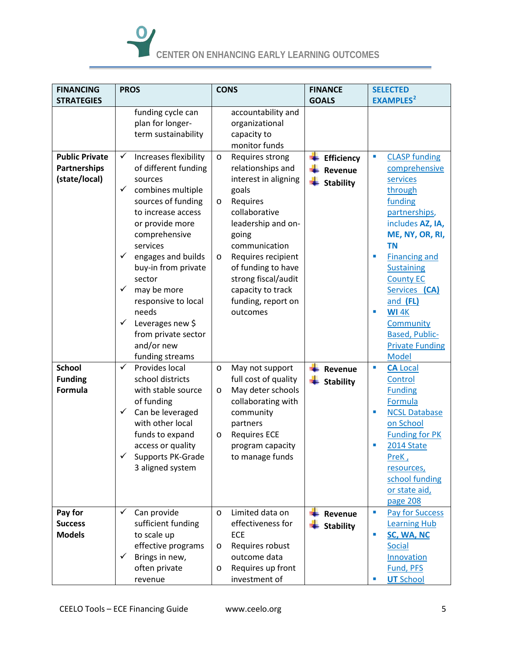

| <b>FINANCING</b>                                       | <b>PROS</b>                                                                                                                                                                                                                                                                                                                                                                                                | <b>CONS</b>                                                                                                                                                                                                                                                                                                   | <b>FINANCE</b>                                   | <b>SELECTED</b>                                                                                                                                                                                                                                                                                                                                            |
|--------------------------------------------------------|------------------------------------------------------------------------------------------------------------------------------------------------------------------------------------------------------------------------------------------------------------------------------------------------------------------------------------------------------------------------------------------------------------|---------------------------------------------------------------------------------------------------------------------------------------------------------------------------------------------------------------------------------------------------------------------------------------------------------------|--------------------------------------------------|------------------------------------------------------------------------------------------------------------------------------------------------------------------------------------------------------------------------------------------------------------------------------------------------------------------------------------------------------------|
| <b>STRATEGIES</b>                                      |                                                                                                                                                                                                                                                                                                                                                                                                            |                                                                                                                                                                                                                                                                                                               | <b>GOALS</b>                                     | <b>EXAMPLES</b> <sup>2</sup>                                                                                                                                                                                                                                                                                                                               |
|                                                        | funding cycle can<br>plan for longer-<br>term sustainability                                                                                                                                                                                                                                                                                                                                               | accountability and<br>organizational<br>capacity to<br>monitor funds                                                                                                                                                                                                                                          |                                                  |                                                                                                                                                                                                                                                                                                                                                            |
| <b>Public Private</b><br>Partnerships<br>(state/local) | Increases flexibility<br>✓<br>of different funding<br>sources<br>combines multiple<br>$\checkmark$<br>sources of funding<br>to increase access<br>or provide more<br>comprehensive<br>services<br>$\checkmark$<br>engages and builds<br>buy-in from private<br>sector<br>✓<br>may be more<br>responsive to local<br>needs<br>✓<br>Leverages new \$<br>from private sector<br>and/or new<br>funding streams | Requires strong<br>$\circ$<br>relationships and<br>interest in aligning<br>goals<br>Requires<br>$\circ$<br>collaborative<br>leadership and on-<br>going<br>communication<br>Requires recipient<br>$\circ$<br>of funding to have<br>strong fiscal/audit<br>capacity to track<br>funding, report on<br>outcomes | <b>Efficiency</b><br>Revenue<br><b>Stability</b> | ×,<br><b>CLASP funding</b><br>comprehensive<br>services<br>through<br>funding<br>partnerships,<br>includes AZ, IA,<br>ME, NY, OR, RI,<br><b>TN</b><br><b>Financing and</b><br>п<br><b>Sustaining</b><br><b>County EC</b><br>Services (CA)<br>and (FL)<br><b>WI 4K</b><br>п<br>Community<br><b>Based, Public-</b><br><b>Private Funding</b><br><b>Model</b> |
| <b>School</b><br><b>Funding</b><br><b>Formula</b>      | ✓<br>Provides local<br>school districts<br>with stable source<br>of funding<br>Can be leveraged<br>$\checkmark$<br>with other local<br>funds to expand<br>access or quality<br>✓<br>Supports PK-Grade<br>3 aligned system                                                                                                                                                                                  | May not support<br>O<br>full cost of quality<br>May deter schools<br>O<br>collaborating with<br>community<br>partners<br><b>Requires ECE</b><br>O<br>program capacity<br>to manage funds                                                                                                                      | Revenue<br><b>Stability</b>                      | <b>CA Local</b><br>п<br>Control<br><b>Funding</b><br>Formula<br><b>NCSL Database</b><br>п<br>on School<br><b>Funding for PK</b><br>2014 State<br>PreK,<br>resources,<br>school funding<br>or state aid,<br>page 208                                                                                                                                        |
| Pay for<br><b>Success</b><br><b>Models</b>             | ✓<br>Can provide<br>sufficient funding<br>to scale up<br>effective programs<br>Brings in new,<br>✓<br>often private<br>revenue                                                                                                                                                                                                                                                                             | Limited data on<br>$\circ$<br>effectiveness for<br><b>ECE</b><br>Requires robust<br>$\circ$<br>outcome data<br>Requires up front<br>O<br>investment of                                                                                                                                                        | Revenue<br><b>Stability</b>                      | <b>Pay for Success</b><br>$\blacksquare$<br><b>Learning Hub</b><br>SC, WA, NC<br>п<br>Social<br>Innovation<br>Fund, PFS<br><b>UT School</b>                                                                                                                                                                                                                |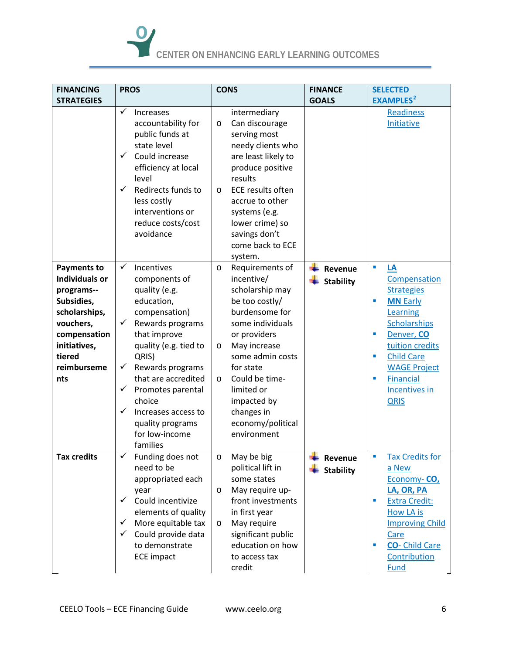# **CENTER ON ENHANCING EARLY LEARNING OUTCOMES**

| <b>FINANCING</b>                                                                                                                                                      | <b>PROS</b>                                                                                                                                                                                                                                                                                                                                         | <b>CONS</b>                                                                                                                                                                                                                                                                                                 | <b>FINANCE</b>              | <b>SELECTED</b>                                                                                                                                                                                                                                                                                              |
|-----------------------------------------------------------------------------------------------------------------------------------------------------------------------|-----------------------------------------------------------------------------------------------------------------------------------------------------------------------------------------------------------------------------------------------------------------------------------------------------------------------------------------------------|-------------------------------------------------------------------------------------------------------------------------------------------------------------------------------------------------------------------------------------------------------------------------------------------------------------|-----------------------------|--------------------------------------------------------------------------------------------------------------------------------------------------------------------------------------------------------------------------------------------------------------------------------------------------------------|
| <b>STRATEGIES</b>                                                                                                                                                     |                                                                                                                                                                                                                                                                                                                                                     |                                                                                                                                                                                                                                                                                                             | <b>GOALS</b>                | <b>EXAMPLES</b> <sup>2</sup>                                                                                                                                                                                                                                                                                 |
|                                                                                                                                                                       | ✓<br>Increases<br>accountability for<br>public funds at<br>state level<br>Could increase<br>✓<br>efficiency at local<br>level<br>✓<br>Redirects funds to<br>less costly<br>interventions or<br>reduce costs/cost<br>avoidance                                                                                                                       | intermediary<br>Can discourage<br>$\circ$<br>serving most<br>needy clients who<br>are least likely to<br>produce positive<br>results<br><b>ECE results often</b><br>$\circ$<br>accrue to other<br>systems (e.g.<br>lower crime) so<br>savings don't<br>come back to ECE<br>system.                          |                             | Readiness<br>Initiative                                                                                                                                                                                                                                                                                      |
| <b>Payments to</b><br><b>Individuals or</b><br>programs--<br>Subsidies,<br>scholarships,<br>vouchers,<br>compensation<br>initiatives,<br>tiered<br>reimburseme<br>nts | ✓<br>Incentives<br>components of<br>quality (e.g.<br>education,<br>compensation)<br>Rewards programs<br>$\checkmark$<br>that improve<br>quality (e.g. tied to<br>QRIS)<br>$\checkmark$<br>Rewards programs<br>that are accredited<br>✓<br>Promotes parental<br>choice<br>✓<br>Increases access to<br>quality programs<br>for low-income<br>families | Requirements of<br>$\circ$<br>incentive/<br>scholarship may<br>be too costly/<br>burdensome for<br>some individuals<br>or providers<br>May increase<br>$\circ$<br>some admin costs<br>for state<br>Could be time-<br>$\circ$<br>limited or<br>impacted by<br>changes in<br>economy/political<br>environment | Revenue<br><b>Stability</b> | $\overline{\phantom{a}}$<br>LA<br>Compensation<br><b>Strategies</b><br><b>MN Early</b><br>п<br>Learning<br><b>Scholarships</b><br>Denver, CO<br>п<br>tuition credits<br><b>Child Care</b><br>$\overline{\phantom{a}}$<br><b>WAGE Project</b><br><b>Financial</b><br>п<br><b>Incentives in</b><br><b>QRIS</b> |
| <b>Tax credits</b>                                                                                                                                                    | Funding does not<br>✓<br>need to be<br>appropriated each<br>year<br>✓<br>Could incentivize<br>elements of quality<br>More equitable tax<br>$\checkmark$<br>Could provide data<br>$\checkmark$<br>to demonstrate<br><b>ECE impact</b>                                                                                                                | May be big<br>O<br>political lift in<br>some states<br>May require up-<br>O<br>front investments<br>in first year<br>May require<br>$\circ$<br>significant public<br>education on how<br>to access tax<br>credit                                                                                            | Revenue<br><b>Stability</b> | <b>Tax Credits for</b><br>п<br>a New<br>Economy-CO,<br>LA, OR, PA<br><b>Extra Credit:</b><br>ш<br>How LA is<br><b>Improving Child</b><br>Care<br><b>CO-</b> Child Care<br>п<br>Contribution<br>Fund                                                                                                          |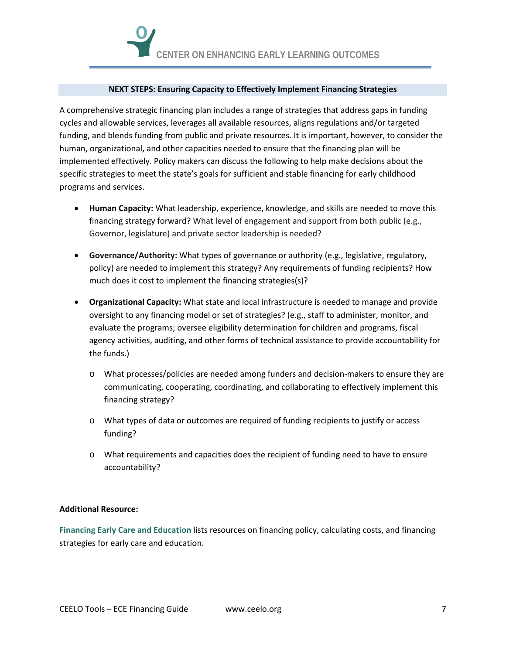### **NEXT STEPS: Ensuring Capacity to Effectively Implement Financing Strategies**

A comprehensive strategic financing plan includes a range of strategies that address gaps in funding cycles and allowable services, leverages all available resources, aligns regulations and/or targeted funding, and blends funding from public and private resources. It is important, however, to consider the human, organizational, and other capacities needed to ensure that the financing plan will be implemented effectively. Policy makers can discuss the following to help make decisions about the specific strategies to meet the state's goals for sufficient and stable financing for early childhood programs and services.

- **Human Capacity:** What leadership, experience, knowledge, and skills are needed to move this financing strategy forward? What level of engagement and support from both public (e.g., Governor, legislature) and private sector leadership is needed?
- **Governance/Authority:** What types of governance or authority (e.g., legislative, regulatory, policy) are needed to implement this strategy? Any requirements of funding recipients? How much does it cost to implement the financing strategies(s)?
- **Organizational Capacity:** What state and local infrastructure is needed to manage and provide oversight to any financing model or set of strategies? (e.g., staff to administer, monitor, and evaluate the programs; oversee eligibility determination for children and programs, fiscal agency activities, auditing, and other forms of technical assistance to provide accountability for the funds.)
	- o What processes/policies are needed among funders and decision-makers to ensure they are communicating, cooperating, coordinating, and collaborating to effectively implement this financing strategy?
	- o What types of data or outcomes are required of funding recipients to justify or access funding?
	- o What requirements and capacities does the recipient of funding need to have to ensure accountability?

# **Additional Resource:**

**Financing Early Care and [Education](http://ceelo.org/wp-content/uploads/2014/05/CEELO_annotated_bibliography_ec_finance.pdf)** lists resources on financing policy, calculating costs, and financing strategies for early care and education.